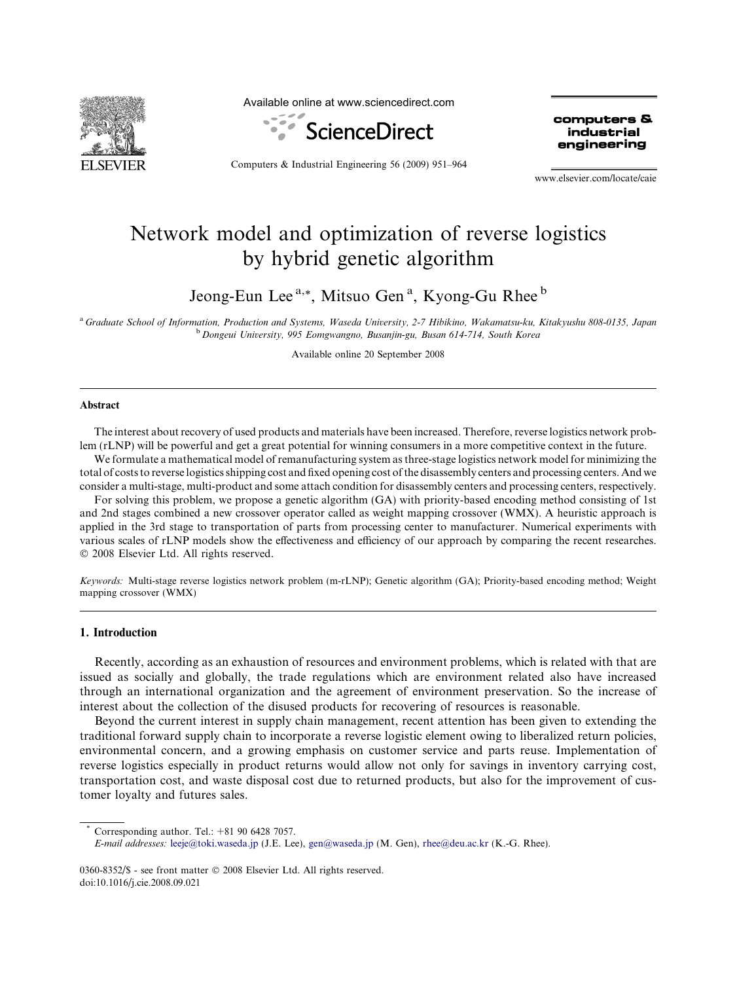

Available online at www.sciencedirect.com



Computers & Industrial Engineering 56 (2009) 951–964

computers & industrial engineering

www.elsevier.com/locate/caie

## Network model and optimization of reverse logistics by hybrid genetic algorithm

Jeong-Eun Lee<sup>a,\*</sup>, Mitsuo Gen<sup>a</sup>, Kyong-Gu Rhee<sup>b</sup>

<sup>a</sup> Graduate School of Information, Production and Systems, Waseda University, 2-7 Hibikino, Wakamatsu-ku, Kitakyushu 808-0135, Japan <sup>b</sup> Dongeui University, 995 Eomgwangno, Busanjin-gu, Busan 614-714, South Korea

Available online 20 September 2008

#### Abstract

The interest about recovery of used products and materials have been increased. Therefore, reverse logistics network problem (rLNP) will be powerful and get a great potential for winning consumers in a more competitive context in the future.

We formulate a mathematical model of remanufacturing system as three-stage logistics network model for minimizing the total of costs to reverse logistics shipping cost and fixed opening cost of the disassembly centers and processing centers. And we consider a multi-stage, multi-product and some attach condition for disassembly centers and processing centers, respectively.

For solving this problem, we propose a genetic algorithm (GA) with priority-based encoding method consisting of 1st and 2nd stages combined a new crossover operator called as weight mapping crossover (WMX). A heuristic approach is applied in the 3rd stage to transportation of parts from processing center to manufacturer. Numerical experiments with various scales of rLNP models show the effectiveness and efficiency of our approach by comparing the recent researches. © 2008 Elsevier Ltd. All rights reserved.

Keywords: Multi-stage reverse logistics network problem (m-rLNP); Genetic algorithm (GA); Priority-based encoding method; Weight mapping crossover (WMX)

### 1. Introduction

Recently, according as an exhaustion of resources and environment problems, which is related with that are issued as socially and globally, the trade regulations which are environment related also have increased through an international organization and the agreement of environment preservation. So the increase of interest about the collection of the disused products for recovering of resources is reasonable.

Beyond the current interest in supply chain management, recent attention has been given to extending the traditional forward supply chain to incorporate a reverse logistic element owing to liberalized return policies, environmental concern, and a growing emphasis on customer service and parts reuse. Implementation of reverse logistics especially in product returns would allow not only for savings in inventory carrying cost, transportation cost, and waste disposal cost due to returned products, but also for the improvement of customer loyalty and futures sales.

Corresponding author. Tel.:  $+81$  90 6428 7057. E-mail addresses: [leeje@toki.waseda.jp](mailto:leeje@toki.waseda.jp) (J.E. Lee), [gen@waseda.jp](mailto:gen@waseda.jp) (M. Gen), [rhee@deu.ac.kr](mailto:rhee@deu.ac.kr) (K.-G. Rhee).

0360-8352/\$ - see front matter © 2008 Elsevier Ltd. All rights reserved. doi:10.1016/j.cie.2008.09.021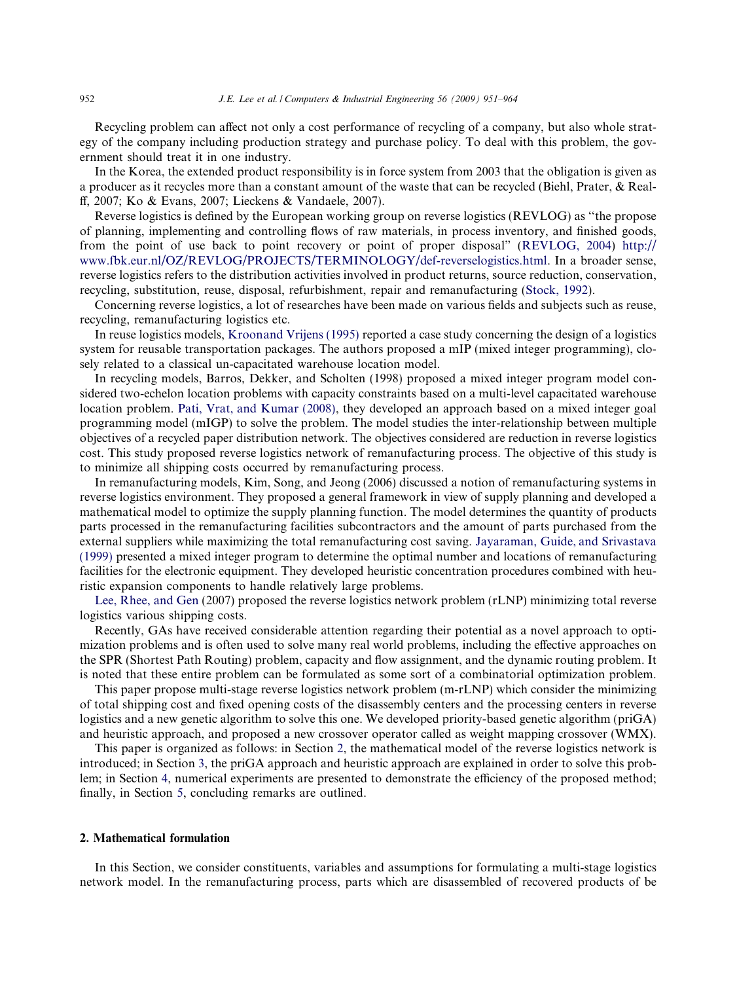Recycling problem can affect not only a cost performance of recycling of a company, but also whole strategy of the company including production strategy and purchase policy. To deal with this problem, the government should treat it in one industry.

In the Korea, the extended product responsibility is in force system from 2003 that the obligation is given as a producer as it recycles more than a constant amount of the waste that can be recycled (Biehl, Prater, & Realff, 2007; Ko & Evans, 2007; Lieckens & Vandaele, 2007).

Reverse logistics is defined by the European working group on reverse logistics (REVLOG) as ''the propose of planning, implementing and controlling flows of raw materials, in process inventory, and finished goods, from the point of use back to point recovery or point of proper disposal" ([REVLOG, 2004](#page--1-0)) [http://](http://www.fbk.eur.nl/OZ/REVLOG/PROJECTS/TERMINOLOGY/def-reverselogistics.html) [www.fbk.eur.nl/OZ/REVLOG/PROJECTS/TERMINOLOGY/def-reverselogistics.html](http://www.fbk.eur.nl/OZ/REVLOG/PROJECTS/TERMINOLOGY/def-reverselogistics.html). In a broader sense, reverse logistics refers to the distribution activities involved in product returns, source reduction, conservation, recycling, substitution, reuse, disposal, refurbishment, repair and remanufacturing [\(Stock, 1992](#page--1-0)).

Concerning reverse logistics, a lot of researches have been made on various fields and subjects such as reuse, recycling, remanufacturing logistics etc.

In reuse logistics models, [Kroonand Vrijens \(1995\)](#page--1-0) reported a case study concerning the design of a logistics system for reusable transportation packages. The authors proposed a mIP (mixed integer programming), closely related to a classical un-capacitated warehouse location model.

In recycling models, Barros, Dekker, and Scholten (1998) proposed a mixed integer program model considered two-echelon location problems with capacity constraints based on a multi-level capacitated warehouse location problem. [Pati, Vrat, and Kumar \(2008\)](#page--1-0), they developed an approach based on a mixed integer goal programming model (mIGP) to solve the problem. The model studies the inter-relationship between multiple objectives of a recycled paper distribution network. The objectives considered are reduction in reverse logistics cost. This study proposed reverse logistics network of remanufacturing process. The objective of this study is to minimize all shipping costs occurred by remanufacturing process.

In remanufacturing models, Kim, Song, and Jeong (2006) discussed a notion of remanufacturing systems in reverse logistics environment. They proposed a general framework in view of supply planning and developed a mathematical model to optimize the supply planning function. The model determines the quantity of products parts processed in the remanufacturing facilities subcontractors and the amount of parts purchased from the external suppliers while maximizing the total remanufacturing cost saving. [Jayaraman, Guide, and Srivastava](#page--1-0) [\(1999\)](#page--1-0) presented a mixed integer program to determine the optimal number and locations of remanufacturing facilities for the electronic equipment. They developed heuristic concentration procedures combined with heuristic expansion components to handle relatively large problems.

[Lee, Rhee, and Gen](#page--1-0) (2007) proposed the reverse logistics network problem (rLNP) minimizing total reverse logistics various shipping costs.

Recently, GAs have received considerable attention regarding their potential as a novel approach to optimization problems and is often used to solve many real world problems, including the effective approaches on the SPR (Shortest Path Routing) problem, capacity and flow assignment, and the dynamic routing problem. It is noted that these entire problem can be formulated as some sort of a combinatorial optimization problem.

This paper propose multi-stage reverse logistics network problem (m-rLNP) which consider the minimizing of total shipping cost and fixed opening costs of the disassembly centers and the processing centers in reverse logistics and a new genetic algorithm to solve this one. We developed priority-based genetic algorithm (priGA) and heuristic approach, and proposed a new crossover operator called as weight mapping crossover (WMX).

This paper is organized as follows: in Section 2, the mathematical model of the reverse logistics network is introduced; in Section [3](#page--1-0), the priGA approach and heuristic approach are explained in order to solve this problem; in Section [4,](#page--1-0) numerical experiments are presented to demonstrate the efficiency of the proposed method; finally, in Section [5](#page--1-0), concluding remarks are outlined.

#### 2. Mathematical formulation

In this Section, we consider constituents, variables and assumptions for formulating a multi-stage logistics network model. In the remanufacturing process, parts which are disassembled of recovered products of be